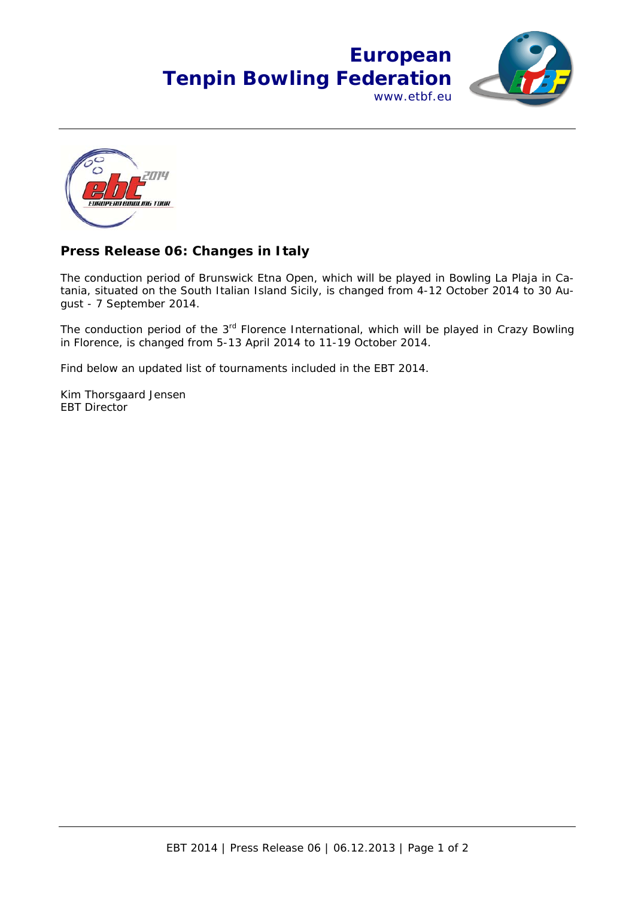



## **Press Release 06: Changes in Italy**

The conduction period of Brunswick Etna Open, which will be played in Bowling La Plaja in Catania, situated on the South Italian Island Sicily, is changed from 4-12 October 2014 to 30 August - 7 September 2014.

The conduction period of the 3<sup>rd</sup> Florence International, which will be played in Crazy Bowling in Florence, is changed from 5-13 April 2014 to 11-19 October 2014.

Find below an updated list of tournaments included in the EBT 2014.

Kim Thorsgaard Jensen EBT Director